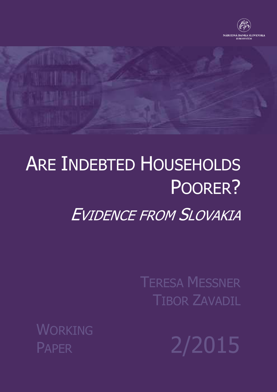

# ARE INDEBTED HOUSEHOLDS POORER? EVIDENCE FROM SLOVAKIA

TERESA MESSNER TIBOR ZAVADIL

WORKING

PAPER 2/2015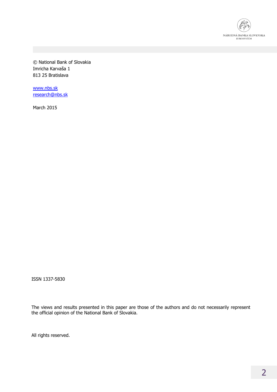

© National Bank of Slovakia Imricha Karvaša 1 813 25 Bratislava

www.nbs.sk research@nbs.sk

March 2015

ISSN 1337-5830

The views and results presented in this paper are those of the authors and do not necessarily represent the official opinion of the National Bank of Slovakia.

All rights reserved.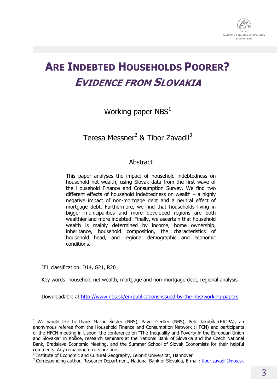

# **ARE INDEBTED HOUSEHOLDS POORER? EVIDENCE FROM SLOVAKIA**

# Working paper  $NBS<sup>1</sup>$

# Teresa Messner<sup>2</sup> & Tibor Zavadil<sup>3</sup>

### **Abstract**

This paper analyses the impact of household indebtedness on household net wealth, using Slovak data from the first wave of the Household Finance and Consumption Survey. We find two different effects of household indebtedness on wealth  $-$  a highly negative impact of non-mortgage debt and a neutral effect of mortgage debt. Furthermore, we find that households living in bigger municipalities and more developed regions are both wealthier and more indebted. Finally, we ascertain that household wealth is mainly determined by income, home ownership, inheritance, household composition, the characteristics of household head, and regional demographic and economic conditions.

JEL classification: D14, G21, R20

-

Key words: household net wealth, mortgage and non-mortgage debt, regional analysis

Downloadable at http://www.nbs.sk/en/publications-issued-by-the-nbs/working-papers

<sup>&</sup>lt;sup>1</sup> We would like to thank Martin Šuster (NBS), Pavel Gertler (NBS), Petr Jakubík (EIOPA), an anonymous referee from the Household Finance and Consumption Network (HFCN) and participants of the HFCN meeting in Lisbon, the conference on "The Inequality and Poverty in the European Union and Slovakia" in Košice, research seminars at the National Bank of Slovakia and the Czech National Bank, Bratislava Economic Meeting, and the Summer School of Slovak Economists for their helpful comments. Any remaining errors are ours.

<sup>&</sup>lt;sup>2</sup> Institute of Economic and Cultural Geography, Leibniz Universität, Hannover

<sup>&</sup>lt;sup>3</sup> Corresponding author, Research Department, National Bank of Slovakia, E-mail: tibor.zavadil@nbs.sk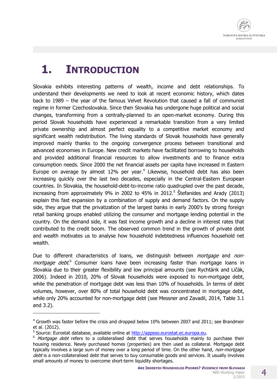

# **1. INTRODUCTION**

Slovakia exhibits interesting patterns of wealth, income and debt relationships. To understand their developments we need to look at recent economic history, which dates back to 1989 – the year of the famous Velvet Revolution that caused a fall of communist regime in former Czechoslovakia. Since then Slovakia has undergone huge political and social changes, transforming from a centrally-planned to an open-market economy. During this period Slovak households have experienced a remarkable transition from a very limited private ownership and almost perfect equality to a competitive market economy and significant wealth redistribution. The living standards of Slovak households have generally improved mainly thanks to the ongoing convergence process between transitional and advanced economies in Europe. New credit markets have facilitated borrowing to households and provided additional financial resources to allow investments and to finance extra consumption needs. Since 2000 the net financial assets per capita have increased in Eastern Europe on average by almost 12% per year.<sup>4</sup> Likewise, household debt has also been increasing quickly over the last two decades, especially in the Central-Eastern European countries. In Slovakia, the household-debt-to-income ratio quadrupled over the past decade, increasing from approximately 9% in 2002 to 45% in 2012.<sup>5</sup> Štefanides and Arady (2013) explain this fast expansion by a combination of supply and demand factors. On the supply side, they argue that the privatization of the largest banks in early 2000's by strong foreign retail banking groups enabled utilizing the consumer and mortgage lending potential in the country. On the demand side, it was fast income growth and a decline in interest rates that contributed to the credit boom. The observed common trend in the growth of private debt and wealth motivates us to analyse how household indebtedness influences household net wealth.

Due to different characteristics of loans, we distinguish between *mortgage* and *non*mortgage debt.<sup>6</sup> Consumer loans have been increasing faster than mortgage loans in Slovakia due to their greater flexibility and low principal amounts (see Rychtárik and Ličák, 2006). Indeed in 2010, 20% of Slovak households were exposed to non-mortgage debt, while the penetration of mortgage debt was less than 10% of households. In terms of debt volumes, however, over 80% of total household debt was concentrated in mortgage debt, while only 20% accounted for non-mortgage debt (see Messner and Zavadil, 2014, Table 3.1 and 3.2).

-

 $4$  Growth was faster before the crisis and dropped below 10% between 2007 and 2011; see Brandmeir et al. (2012).

<sup>&</sup>lt;sup>5</sup> Source: Eurostat database, available online at http://appsso.eurostat.ec.europa.eu.

 $6$  Mortgage debt refers to a collateralised debt that serves households mainly to purchase their housing residence. Newly purchased homes (properties) are then used as collateral. Mortgage debt typically involves a large sum of money over a long period of time. On the other hand, non-mortgage debt is a non-collateralised debt that serves to buy consumable goods and services. It usually involves small amounts of money to overcome short-term liquidity shortages.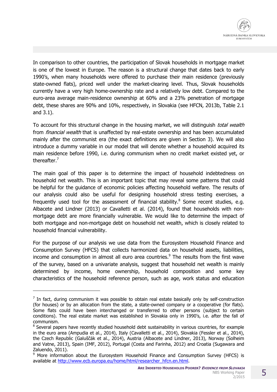In comparison to other countries, the participation of Slovak households in mortgage market is one of the lowest in Europe. The reason is a structural change that dates back to early 1990's, when many households were offered to purchase their main residence (previously state-owned flats), priced well under the market-clearing level. Thus, Slovak households currently have a very high home-ownership rate and a relatively low debt. Compared to the euro-area average main-residence ownership at 60% and a 23% penetration of mortgage debt, these shares are 90% and 10%, respectively, in Slovakia (see HFCN, 2013b, Table 2.1 and 3.1).

To account for this structural change in the housing market, we will distinguish total wealth from *financial wealth* that is unaffected by real-estate ownership and has been accumulated mainly after the communist era (the exact definitions are given in Section 3). We will also introduce a dummy variable in our model that will denote whether a household acquired its main residence before 1990, i.e. during communism when no credit market existed yet, or thereafter.<sup>7</sup>

The main goal of this paper is to determine the impact of household indebtedness on household net wealth. This is an important topic that may reveal some patterns that could be helpful for the guidance of economic policies affecting household welfare. The results of our analysis could also be useful for designing household stress testing exercises, a frequently used tool for the assessment of financial stability.<sup>8</sup> Some recent studies, e.g. Albacete and Lindner (2013) or Cavalletti et al. (2014), found that households with nonmortgage debt are more financially vulnerable. We would like to determine the impact of both mortgage and non-mortgage debt on household net wealth, which is closely related to household financial vulnerability.

For the purpose of our analysis we use data from the Eurosystem Household Finance and Consumption Survey (HFCS) that collects harmonized data on household assets, liabilities, income and consumption in almost all euro area countries.<sup>9</sup> The results from the first wave of the survey, based on a univariate analysis, suggest that household net wealth is mainly determined by income, home ownership, household composition and some key characteristics of the household reference person, such as age, work status and education

-

 $<sup>7</sup>$  In fact, during communism it was possible to obtain real estate basically only by self-construction</sup> (for houses) or by an allocation from the state, a state-owned company or a cooperative (for flats). Some flats could have been interchanged or transferred to other persons (subject to certain conditions). The real estate market was established in Slovakia only in 1990's, i.e. after the fall of communism.

<sup>&</sup>lt;sup>8</sup> Several papers have recently studied household debt sustainability in various countries, for example in the euro area (Ampudia et al., 2014), Italy (Cavalletti et al., 2014), Slovakia (Fessler et al., 2014), the Czech Republic (Galuščák et al., 2014), Austria (Albacete and Lindner, 2013), Norway (Solheim and Vatne, 2013), Spain (IMF, 2012), Portugal (Costa and Farinha, 2012) and Croatia (Sugawara and Zaluendo, 2011).

<sup>&</sup>lt;sup>9</sup> More information about the Eurosystem Household Finance and Consumption Survey (HFCS) is available at http://www.ecb.europa.eu/home/html/researcher\_hfcn.en.html.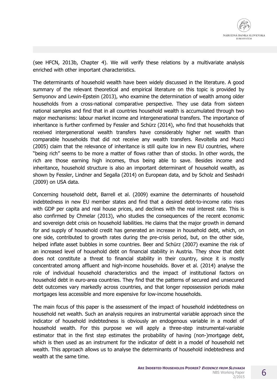(see HFCN, 2013b, Chapter 4). We will verify these relations by a multivariate analysis enriched with other important characteristics.

The determinants of household wealth have been widely discussed in the literature. A good summary of the relevant theoretical and empirical literature on this topic is provided by Semyonov and Lewin-Epstein (2013), who examine the determination of wealth among older households from a cross-national comparative perspective. They use data from sixteen national samples and find that in all countries household wealth is accumulated through two major mechanisms: labour market income and intergenerational transfers. The importance of inheritance is further confirmed by Fessler and Schürz (2014), who find that households that received intergenerational wealth transfers have considerably higher net wealth than comparable households that did not receive any wealth transfers. Revoltella and Mucci (2005) claim that the relevance of inheritance is still quite low in new EU countries, where "being rich" seems to be more a matter of flows rather than of stocks. In other words, the rich are those earning high incomes, thus being able to save. Besides income and inheritance, household structure is also an important determinant of household wealth, as shown by Fessler, Lindner and Segalla (2014) on European data, and by Scholz and Seshadri (2009) on USA data.

Concerning household debt, Barrell et al. (2009) examine the determinants of household indebtedness in new EU member states and find that a desired debt-to-income ratio rises with GDP per capita and real house prices, and declines with the real interest rate. This is also confirmed by Chmelar (2013), who studies the consequences of the recent economic and sovereign debt crisis on household liabilities. He claims that the major growth in demand for and supply of household credit has generated an increase in household debt, which, on one side, contributed to growth rates during the pre-crisis period, but, on the other side, helped inflate asset bubbles in some countries. Beer and Schürz (2007) examine the risk of an increased level of household debt on financial stability in Austria. They show that debt does not constitute a threat to financial stability in their country, since it is mostly concentrated among affluent and high-income households. Bover et al. (2014) analyse the role of individual household characteristics and the impact of institutional factors on household debt in euro-area countries. They find that the patterns of secured and unsecured debt outcomes vary markedly across countries, and that longer repossession periods make mortgages less accessible and more expensive for low-income households.

The main focus of this paper is the assessment of the impact of household indebtedness on household net wealth. Such an analysis requires an instrumental variable approach since the indicator of household indebtedness is obviously an endogenous variable in a model of household wealth. For this purpose we will apply a three-step instrumental-variable estimator that in the first step estimates the probability of having (non-)mortgage debt, which is then used as an instrument for the indicator of debt in a model of household net wealth. This approach allows us to analyse the determinants of household indebtedness and wealth at the same time.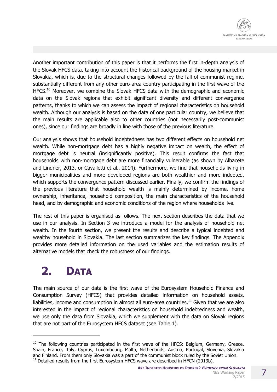

Another important contribution of this paper is that it performs the first in-depth analysis of the Slovak HFCS data, taking into account the historical background of the housing market in Slovakia, which is, due to the structural changes followed by the fall of communist regime, substantially different from any other euro-area country participating in the first wave of the HFCS.<sup>10</sup> Moreover, we combine the Slovak HFCS data with the demographic and economic data on the Slovak regions that exhibit significant diversity and different convergence patterns, thanks to which we can assess the impact of regional characteristics on household wealth. Although our analysis is based on the data of one particular country, we believe that the main results are applicable also to other countries (not necessarily post-communist ones), since our findings are broadly in line with those of the previous literature.

Our analysis shows that household indebtedness has two different effects on household net wealth. While non-mortgage debt has a highly negative impact on wealth, the effect of mortgage debt is neutral (insignificantly positive). This result confirms the fact that households with non-mortgage debt are more financially vulnerable (as shown by Albacete and Lindner, 2013, or Cavalletti et al., 2014). Furthermore, we find that households living in bigger municipalities and more developed regions are both wealthier and more indebted, which supports the convergence pattern discussed earlier. Finally, we confirm the findings of the previous literature that household wealth is mainly determined by income, home ownership, inheritance, household composition, the main characteristics of the household head, and by demographic and economic conditions of the region where households live.

The rest of this paper is organised as follows. The next section describes the data that we use in our analysis. In Section 3 we introduce a model for the analysis of household net wealth. In the fourth section, we present the results and describe a typical indebted and wealthy household in Slovakia. The last section summarizes the key findings. The Appendix provides more detailed information on the used variables and the estimation results of alternative models that check the robustness of our findings.

# **2. DATA**

-

The main source of our data is the first wave of the Eurosystem Household Finance and Consumption Survey (HFCS) that provides detailed information on household assets, liabilities, income and consumption in almost all euro-area countries.<sup>11</sup> Given that we are also interested in the impact of regional characteristics on household indebtedness and wealth, we use only the data from Slovakia, which we supplement with the data on Slovak regions that are not part of the Eurosystem HFCS dataset (see Table 1).

 $10$  The following countries participated in the first wave of the HFCS: Belgium, Germany, Greece, Spain, France, Italy, Cyprus, Luxembourg, Malta, Netherlands, Austria, Portugal, Slovenia, Slovakia and Finland. From them only Slovakia was a part of the communist block ruled by the Soviet Union.  $11$  Detailed results from the first Eurosystem HFCS wave are described in HFCN (2013b).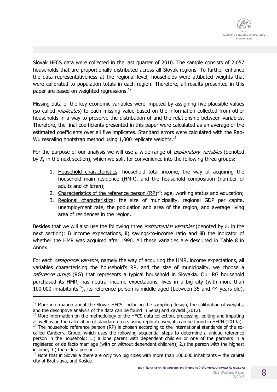

Slovak HFCS data were collected in the last quarter of 2010. The sample consists of 2,057 households that are proportionally distributed across all Slovak regions. To further enhance the data representativeness at the regional level, households were attibuted weights that were calibrated to population totals in each region. Therefore, all results presented in this paper are based on weighted regressions.<sup>12</sup>

Missing data of the key economic variables were imputed by assigning five plausible values (so called *implicates*) to each missing value based on the information collected from other households in a way to preserve the distribution of and the relationship between variables. Therefore, the final coefficients presented in this paper were calculated as an average of the estimated coefficients over all five implicates. Standard errors were calculated with the Rao-Wu rescaling bootstrap method using 1,000 replicate weights. $^{13}$ 

For the purpose of our analysis we will use a wide range of *explanatory variables* (denoted by  $X_i$  in the next section), which we split for convenience into the following three groups:

- 1. Household characteristics: household total income, the way of acquiring the household main residence (HMR), and the household composition (number of adults and children);
- 2. Characteristics of the reference person  $(RP)^{14}$ : age, working status and education;
- 3. Regional characteristics: the size of municipality, regional GDP per capita, unemployment rate, the population and area of the region, and average living area of residences in the region.

Besides that we will also use the following three *instrumental variables* (denoted by  $Z_i$  in the next section): i) income expectations, ii) savings-to-income ratio and iii) the indicator of whether the HMR was acquired after 1990. All these variables are described in Table 8 in Annex.

For each *categorical variable*, namely the way of acquiring the HMR, income expectations, all variables characterising the household's RP, and the size of municipality, we choose a reference group (RG) that represents a typical household in Slovakia. Our RG household purchased its HMR, has neutral income expectations, lives in a big city (with more than 100,000 inhabitants<sup>15</sup>), its reference person is middle aged (between 35 and 44 years old),

l

 $12$  More information about the Slovak HFCS, including the sampling design, the calibration of weights, and the descriptive analysis of the data can be found in Senaj and Zavadil (2012).

 $13$  More information on the methodology of the HFCS data collection, processing, editing and imputing as well as on the calculation of standard errors using replicate weights can be found in HFCN (2013a).

 $14$  The household reference person (RP) is chosen according to the international standards of the socalled Canberra Group, which uses the following sequential steps to determine a unique reference person in the household: 1.) a lone parent with dependent children or one of the partners in a registered or de facto marriage (with or without dependent children); 2.) the person with the highest income; 3.) the eldest person.

 $15$  Note that in Slovakia there are only two big cities with more than 100,000 inhabitants – the capital city of Bratislava, and Košice.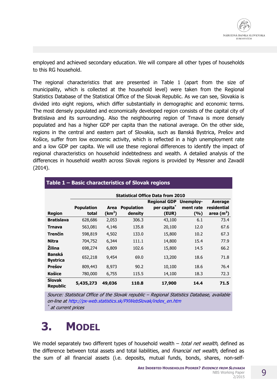employed and achieved secondary education. We will compare all other types of households to this RG household.

The regional characteristics that are presented in Table 1 (apart from the size of municipality, which is collected at the household level) were taken from the Regional Statistics Database of the Statistical Office of the Slovak Republic. As we can see, Slovakia is divided into eight regions, which differ substantially in demographic and economic terms. The most densely populated and economically developed region consists of the capital city of Bratislava and its surrounding. Also the neighbouring region of Trnava is more densely populated and has a higher GDP per capita than the national average. On the other side, regions in the central and eastern part of Slovakia, such as Banská Bystrica, Prešov and Košice, suffer from low economic activity, which is reflected in a high unemployment rate and a low GDP per capita. We will use these regional differences to identify the impact of regional characteristics on household indebtedness and wealth. A detailed analysis of the differences in household wealth across Slovak regions is provided by Messner and Zavadil (2014).

|                                  | <b>Statistical Office Data from 2010</b> |                    |                   |                     |                  |                |  |
|----------------------------------|------------------------------------------|--------------------|-------------------|---------------------|------------------|----------------|--|
|                                  |                                          |                    |                   | <b>Regional GDP</b> | <b>Unemploy-</b> | <b>Average</b> |  |
|                                  | <b>Population</b>                        | Area               | <b>Population</b> | per capita*         | ment rate        | residential    |  |
| <b>Region</b>                    | total                                    | (km <sup>2</sup> ) | density           | (EUR)               | (%)              | area $(m2)$    |  |
| <b>Bratislava</b>                | 628,686                                  | 2,053              | 306.3             | 43,100              | 6.1              | 73.4           |  |
| <b>Trnava</b>                    | 563,081                                  | 4,146              | 135.8             | 20,100              | 12.0             | 67.6           |  |
| Trenčín                          | 598,819                                  | 4,502              | 133.0             | 15,800              | 10.2             | 67.3           |  |
| <b>Nitra</b>                     | 704,752                                  | 6,344              | 111.1             | 14,800              | 15.4             | 77.9           |  |
| Žilina                           | 698,274                                  | 6,809              | 102.6             | 15,800              | 14.5             | 66.2           |  |
| <b>Banská</b><br><b>Bystrica</b> | 652,218                                  | 9,454              | 69.0              | 13,200              | 18.6             | 71.8           |  |
| Prešov                           | 809,443                                  | 8,973              | 90.2              | 10,100              | 18.6             | 76.4           |  |
| <b>Košice</b>                    | 780,000                                  | 6,755              | 115.5             | 14,100              | 18.3             | 72.3           |  |
| <b>Slovak</b><br><b>Republic</b> | 5,435,273                                | 49,036             | 110.8             | 17,900              | 14.4             | 71.5           |  |

#### **Table 1 – Basic characteristics of Slovak regions**

Source: Statistical Office of the Slovak republic – Regional Statistics Database, available on-line at http://px-web.statistics.sk/PXWebSlovak/index\_en.htm  $^*$  at current prices

# **3. MODEL**

We model separately two different types of household wealth – total net wealth, defined as the difference between total assets and total liabilities, and *financial net wealth*, defined as the sum of all financial assets (i.e. deposits, mutual funds, bonds, shares, non-self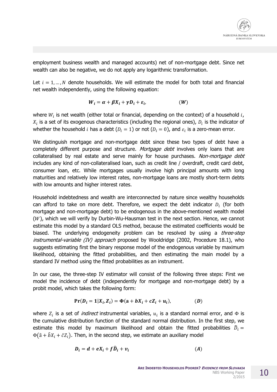employment business wealth and managed accounts) net of non-mortgage debt. Since net wealth can also be negative, we do not apply any logarithmic transformation.

Let  $i = 1, ..., N$  denote households. We will estimate the model for both total and financial net wealth independently, using the following equation:

$$
W_i = \alpha + \beta X_i + \gamma D_i + \varepsilon_i, \qquad (W)
$$

where  $W_i$  is net wealth (either total or financial, depending on the context) of a household  $i$ ,  $X_i$  is a set of its exogenous characteristics (including the regional ones),  $D_i$  is the indicator of whether the household i has a debt ( $D_i = 1$ ) or not ( $D_i = 0$ ), and  $\varepsilon_i$  is a zero-mean error.

We distinguish mortgage and non-mortgage debt since these two types of debt have a completely different purpose and structure. Mortgage debt involves only loans that are collateralised by real estate and serve mainly for house purchases. Non-mortgage debt includes any kind of non-collateralised loan, such as credit line / overdraft, credit card debt, consumer loan, etc. While mortgages usually involve high principal amounts with long maturities and relatively low interest rates, non-mortgage loans are mostly short-term debts with low amounts and higher interest rates.

Household indebtedness and wealth are interconnected by nature since wealthy households can afford to take on more debt. Therefore, we expect the debt indicator  $D_i$  (for both mortgage and non-mortgage debt) to be endogenous in the above-mentioned wealth model  $(W)$ , which we will verify by Durbin-Wu-Hausman test in the next section. Hence, we cannot estimate this model by a standard OLS method, because the estimated coefficients would be biased. The underlying endogeneity problem can be resolved by using a *three-step*  $instructural\text{-}\varphi$  instrumental-variable (IV) approach proposed by Wooldridge (2002, Procedure 18.1), who suggests estimating first the binary response model of the endogenous variable by maximum likelihood, obtaining the fitted probabilities, and then estimating the main model by a standard IV method using the fitted probabilities as an instrument.

In our case, the three-step IV estimator will consist of the following three steps: First we model the incidence of debt (independently for mortgage and non-mortgage debt) by a probit model, which takes the following form:

$$
Pr(D_i = 1 | X_i, Z_i) = \Phi(a + bX_i + cZ_i + u_i),
$$
 (D)

where  $Z_i$  is a set of *indirect* instrumental variables,  $u_i$  is a standard normal error, and  $\Phi$  is the cumulative distribution function of the standard normal distribution. In the first step, we estimate this model by maximum likelihood and obtain the fitted probabilities  ${\widehat {D}}_i=$  $\Phi(\hat{a} + \hat{b}X_i + \hat{c}Z_i)$ . Then, in the second step, we estimate an auxiliary model

$$
D_i = d + eX_i + f\widehat{D}_i + v_i \tag{A}
$$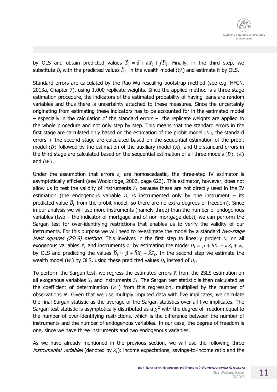by OLS and obtain predicted values  $\widetilde{D}_i = \hat{d} + \hat{e}X_i + \hat{f}\widehat{D}_i$ . Finally, in the third step, we substitute  $D_i$  with the predicted values  $\widetilde{D}_i$  in the wealth model (W) and estimate it by OLS.

Standard errors are calculated by the Rao-Wu rescaling bootstrap method (see e.g. HFCN, 2013a, Chapter 7), using 1,000 replicate weights. Since the applied method is a three stage estimation procedure, the indicators of the estimated probability of having loans are random variables and thus there is uncertainty attached to these measures. Since the uncertainty originating from estimating these indicators has to be accounted for in the estimated model – especially in the calculation of the standard errors – the replicate weights are applied to the whole procedure and not only step by step. This means that the standard errors in the first stage are calculated only based on the estimation of the probit model  $(D)$ , the standard errors in the second stage are calculated based on the sequential estimation of the probit model (D) followed by the estimation of the auxiliary model (A), and the standard errors in the third stage are calculated based on the sequential estimation of all three models  $(D)$ ,  $(A)$ and  $(W)$ .

Under the assumption that errors  $\varepsilon_i$  are homoscedastic, the three-step IV estimator is asymptotically efficient (see Wooldridge, 2002, page 623). This estimator, however, does not allow us to test the validity of instruments  $z_i$  because these are not directly used in the IV estimation (the endogenous variable  $D_i$  is instrumented only by one instrument – its predicted value  $\widehat D_i$  from the probit model, so there are no extra degrees of freedom). Since in our analysis we will use more instruments (namely three) than the number of endogenous variables (two – the indicator of mortgage and of non-mortgage debt), we can perform the Sargan test for over-identifying restrictions that enables us to verify the validity of our instruments. For this purpose we will need to re-estimate the model by a standard two-stage *least squares (2SLS) method*. This involves in the first step to linearly project  $D_i$  on all exogenous variables  $X_i$  and instruments  $Z_i$  by estimating the model  $D_i = g + hX_i + kZ_i + w_i$ by OLS and predicting the values  $\breve{D}_i = \hat{g} + \hat{h}X_i + \hat{k}Z_i$ . In the second step we estimate the wealth model (W) by OLS, using these predicted values  $\widecheck{D}_i$  instead of  $D_i.$ 

To perform the Sargan test, we regress the estimated errors  $\widehat{\varepsilon_{\iota}}$  from the 2SLS estimation on all exogenous variables  $X_i$  and instruments  $Z_i$ . The Sargan test statistic is then calculated as the coefficient of determination  $(R^2)$  from this regression, multiplied by the number of observations  $N$ . Given that we use multiply imputed data with five implicates, we calculate the final Sargan statistic as the average of the Sargan statistics over all five implicates. The Sargan test statistic is asymptotically distributed as a  $\chi^2$  with the degree of freedom equal to the number of over-identifying restrictions, which is the difference between the number of instruments and the number of endogenous variables. In our case, the degree of freedom is one, since we have three instruments and two endogenous variables.

As we have already mentioned in the previous section, we will use the following three *instrumental variables* (denoted by  $Z_i$ ): income expectations, savings-to-income ratio and the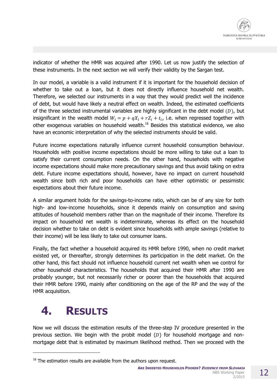indicator of whether the HMR was acquired after 1990. Let us now justify the selection of these instruments. In the next section we will verify their validity by the Sargan test.

In our model, a variable is a valid instrument if it is important for the household decision of whether to take out a loan, but it does not directly influence household net wealth. Therefore, we selected our instruments in a way that they would predict well the incidence of debt, but would have likely a neutral effect on wealth. Indeed, the estimated coefficients of the three selected instrumental variables are highly significant in the debt model  $(D)$ , but insignificant in the wealth model  $W_i = p + qX_i + rZ_i + t_i$ , i.e. when regressed together with other exogenous variables on household wealth.<sup>16</sup> Besides this statistical evidence, we also have an economic interpretation of why the selected instruments should be valid.

Future income expectations naturally influence current household consumption behaviour. Households with positive income expectations should be more willing to take out a loan to satisfy their current consumption needs. On the other hand, households with negative income expectations should make more precautionary savings and thus avoid taking on extra debt. Future income expectations should, however, have no impact on current household wealth since both rich and poor households can have either optimistic or pessimistic expectations about their future income.

A similar argument holds for the savings-to-income ratio, which can be of any size for both high- and low-income households, since it depends mainly on consumption and saving attitudes of household members rather than on the magnitude of their income. Therefore its impact on household net wealth is indeterminate, whereas its effect on the household decision whether to take on debt is evident since households with ample savings (relative to their income) will be less likely to take out consumer loans.

Finally, the fact whether a household acquired its HMR before 1990, when no credit market existed yet, or thereafter, strongly determines its participation in the debt market. On the other hand, this fact should not influence household current net wealth when we control for other household characteristics. The households that acquired their HMR after 1990 are probably younger, but not necessarily richer or poorer than the households that acquired their HMR before 1990, mainly after conditioning on the age of the RP and the way of the HMR acquisition.

# **4. RESULTS**

l

Now we will discuss the estimation results of the three-step IV procedure presented in the previous section. We begin with the probit model  $(D)$  for household mortgage and nonmortgage debt that is estimated by maximum likelihood method. Then we proceed with the

**ARE INDEBTED HOUSEHOLDS POORER? EVIDENCE FROM SLOVAKIA** NBS Working Paper 2/2015

 $16$  The estimation results are available from the authors upon request.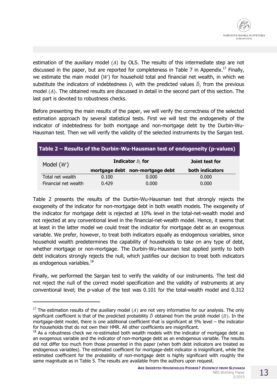estimation of the auxiliary model  $(A)$  by OLS. The results of this intermediate step are not discussed in the paper, but are reported for completeness in Table 7 in Appendix.<sup>17</sup> Finally, we estimate the main model ( $W$ ) for household total and financial net wealth, in which we substitute the indicators of indebtedness  $D_i$  with the predicted values  $\widecheck{D}_i$  from the previous model (A). The obtained results are discussed in detail in the second part of this section. The last part is devoted to robustness checks.

Before presenting the main results of the paper, we will verify the correctness of the selected estimation approach by several statistical tests. First we will test the endogeneity of the indicator of indebtedness for both mortgage and non-mortgage debt by the Durbin-Wu-Hausman test. Then we will verify the validity of the selected instruments by the Sargan test.

| Table 2 – Results of the Durbin-Wu-Hausman test of endogeneity (p-values) |       |                                 |                 |  |  |
|---------------------------------------------------------------------------|-------|---------------------------------|-----------------|--|--|
| Model $(W)$                                                               |       | <b>Indicator</b> $D_i$ for      | Joint test for  |  |  |
|                                                                           |       | mortgage debt non-mortgage debt | both indicators |  |  |
| Total net wealth                                                          | 0.100 | 0.000                           | 0.000           |  |  |
| Financial net wealth                                                      | 0.429 | 0.000                           | 0.000           |  |  |

Table 2 presents the results of the Durbin-Wu-Hausman test that strongly rejects the exogeneity of the indicator for non-mortgage debt in both wealth models. The exogeneity of the indicator for mortgage debt is rejected at 10% level in the total-net-wealth model and not rejected at any conventional level in the financial-net-wealth model. Hence, it seems that at least in the latter model we could treat the indicator for mortgage debt as an exogenous variable. We prefer, however, to treat both indicators equally as endogenous variables, since household wealth predetermines the capability of households to take on any type of debt, whether mortgage or non-mortgage. The Durbin-Wu-Hausman test applied jointly to both debt indicators strongly rejects the null, which justifies our decision to treat both indicators as endogenous variables.<sup>18</sup>

Finally, we performed the Sargan test to verify the validity of our instruments. The test did not reject the null of the correct model specification and the validity of instruments at any conventional level; the p-value of the test was 0.101 for the total-wealth model and 0.312

l

<sup>&</sup>lt;sup>17</sup> The estimation results of the auxiliary model (A) are not very informative for our analysis. The only significant coefficient is that of the predicted probability  $\hat{D}$  obtained from the probit model (D). In the mortgage-debt model, there is one additional coefficient that is significant at 5% level – the indicator for households that do not own their HMR. All other coefficients are insignificant.

 $18$  As a robustness check we re-estimated both wealth models with the indicator of mortgage debt as an exogenous variable and the indicator of non-mortgage debt as an endogenous variable. The results did not differ too much from those presented in this paper (when both debt indicators are treated as endogenous variables). The estimated coefficient for mortgage-debt indicator is insignificant, while the estimated coefficient for the probability of non-mortgage debt is highly significant with roughly the same magnitude as in Table 5. The results are available from the authors upon request.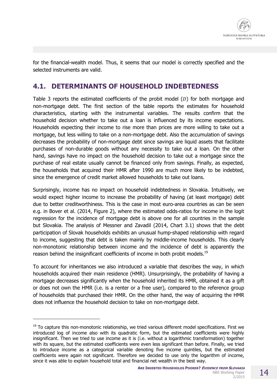

for the financial-wealth model. Thus, it seems that our model is correctly specified and the selected instruments are valid.

### **4.1. DETERMINANTS OF HOUSEHOLD INDEBTEDNESS**

Table 3 reports the estimated coefficients of the probit model  $(D)$  for both mortgage and non-mortgage debt. The first section of the table reports the estimates for household characteristics, starting with the instrumental variables. The results confirm that the household decision whether to take out a loan is influenced by its income expectations. Households expecting their income to rise more than prices are more willing to take out a mortgage, but less willing to take on a non-mortgage debt. Also the accumulation of savings decreases the probability of non-mortgage debt since savings are liquid assets that facilitate purchases of non-durable goods without any necessity to take out a loan. On the other hand, savings have no impact on the household decision to take out a mortgage since the purchase of real estate usually cannot be financed only from savings. Finally, as expected, the households that acquired their HMR after 1990 are much more likely to be indebted, since the emergence of credit market allowed households to take out loans.

Surprisingly, income has no impact on household indebtedness in Slovakia. Intuitively, we would expect higher income to increase the probability of having (at least mortgage) debt due to better creditworthiness. This is the case in most euro-area countries as can be seen e.g. in Bover et al. (2014, Figure 2), where the estimated odds-ratios for income in the logit regression for the incidence of mortgage debt is above one for all countries in the sample but Slovakia. The analysis of Messner and Zavadil (2014, Chart 3.1) shows that the debt participation of Slovak households exhibits an unusual hump-shaped relationship with regard to income, suggesting that debt is taken mainly by middle-income households. This clearly non-monotonic relationship between income and the incidence of debt is apparently the reason behind the insignificant coefficients of income in both probit models.<sup>19</sup>

To account for inheritances we also introduced a variable that describes the way, in which households acquired their main residence (HMR). Unsurprisingly, the probability of having a mortgage decreases significantly when the household inherited its HMR, obtained it as a gift or does not own the HMR (i.e. is a renter or a free user), compared to the reference group of households that purchased their HMR. On the other hand, the way of acquiring the HMR does not influence the household decision to take on non-mortgage debt.

-

<sup>&</sup>lt;sup>19</sup> To capture this non-monotonic relationship, we tried various different model specifications. First we introduced log of income also with its quadratic form, but the estimated coefficients were highly insignificant. Then we tried to use income as it is (i.e. without a logarithmic transformation) together with its square, but the estimated coefficients were even less significant than before. Finally, we tried to introduce income as a categorical variable denoting five income quintiles, but the estimated coefficients were again not significant. Therefore we decided to use only the logarithm of income, since it was able to explain household total and financial net wealth in the best way.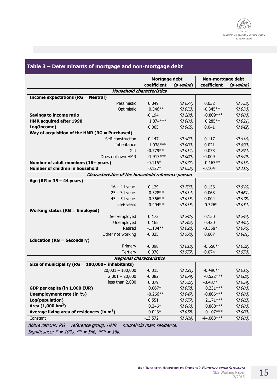|                                                   | Mortgage debt |           | Non-mortgage debt |           |
|---------------------------------------------------|---------------|-----------|-------------------|-----------|
|                                                   | coefficient   | (p-value) | coefficient       | (p-value) |
| <b>Household characteristics</b>                  |               |           |                   |           |
| <b>Income expectations (RG = Neutral)</b>         |               |           |                   |           |
| Pessimistic                                       | 0.049         | (0.677)   | 0.032             | (0.758)   |
| Optimistic                                        | $0.346**$     | (0.033)   | $-0.345**$        | (0.030)   |
| <b>Savings to income ratio</b>                    | $-0.194$      | (0.208)   | $-0.809***$       | (0.000)   |
| <b>HMR acquired after 1990</b>                    | $1.074***$    | (0.000)   | $0.285**$         | (0.021)   |
| Log(income)                                       | 0.005         | (0.965)   | 0.041             | (0.642)   |
| Way of acquisition of the HMR (RG = Purchased)    |               |           |                   |           |
| Self-construction                                 | 0.147         | (0.409)   | $-0.117$          | (0.416)   |
| Inheritance                                       | $-1.038***$   | (0.000)   | 0.021             | (0.890)   |
| Gift                                              | $-0.779**$    | (0.017)   | 0.073             | (0.794)   |
| Does not own HMR                                  | $-1.913***$   | (0.000)   | $-0.009$          | (0.949)   |
| Number of adult members (16+ years)               | $-0.116*$     | (0.073)   | $0.163**$         | (0.013)   |
| Number of children in household                   | $0.127*$      | (0.058)   | $-0.104$          | (0.116)   |
| Characteristics of the household reference person |               |           |                   |           |
| Age ( $RG = 35 - 44$ years)                       |               |           |                   |           |
| $16 - 24$ years                                   | $-0.129$      | (0.793)   | $-0.156$          | (0.546)   |
| $25 - 34$ years                                   | $0.328**$     | (0.014)   | 0.063             | (0.661)   |
| $45 - 54$ years                                   | $-0.366**$    | (0.015)   | $-0.004$          | (0.978)   |
| $55+$ years                                       | $-0.494**$    | (0.015)   | $-0.326*$         | (0.054)   |
| <b>Working status (RG = Employed)</b>             |               |           |                   |           |
| Self-employed                                     | 0.172         | (0.246)   | 0.150             | (0.244)   |
| Unemployed                                        | 0.165         | (0.763)   | 0.420             | (0.442)   |
| Retired                                           | $-1.134**$    | (0.028)   | $-0.358*$         | (0.076)   |
| Other not working                                 | $-0.325$      | (0.578)   | 0.007             | (0.981)   |
| <b>Education (RG = Secondary)</b>                 |               |           |                   |           |
| Primary                                           | $-0.398$      | (0.618)   | $-0.650**$        | (0.032)   |
| Tertiary                                          | 0.070         | (0.557)   | $-0.074$          | (0.550)   |
| <b>Regional characteristics</b>                   |               |           |                   |           |
| Size of municipality (RG = 100,000+ inhabitants)  |               |           |                   |           |
| $20,001 - 100,000$                                | $-0.315$      | (0.121)   | $-0.490**$        | (0.016)   |
| $2,001 - 20,000$                                  | $-0.082$      | (0.674)   | $-0.522***$       | (0.008)   |
| less than 2,000                                   | 0.079         | (0.732)   | $-0.437*$         | (0.054)   |
| GDP per capita (in 1,000 EUR)                     | $0.067*$      | (0.058)   | $0.231***$        | (0.000)   |
| Unemployment rate (in %)                          | $-0.266**$    | (0.047)   | $-0.806***$       | (0.000)   |
| Log(population)                                   | 0.551         | (0.557)   | $2.171***$        | (0.003)   |
| Area (1,000 km <sup>2</sup> )                     | $0.246*$      | (0.060)   | $0.888***$        | (0.000)   |
| Average living area of residences (in $m2$ )      | $0.043*$      | (0.058)   | $0.107***$        | (0.000)   |
| Constant                                          | $-13.572$     | (0.309)   | $-44.068***$      | (0.000)   |

Abbreviations: RG = reference group, HMR = household main residence. Significance:  $* = 10\%$ ,  $** = 5\%$ ,  $*** = 1\%$ .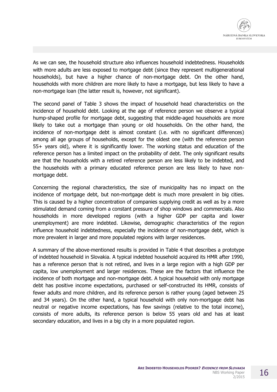

As we can see, the household structure also influences household indebtedness. Households with more adults are less exposed to mortgage debt (since they represent multigenerational households), but have a higher chance of non-mortgage debt. On the other hand, households with more children are more likely to have a mortgage, but less likely to have a non-mortgage loan (the latter result is, however, not significant).

The second panel of Table 3 shows the impact of household head characteristics on the incidence of household debt. Looking at the age of reference person we observe a typical hump-shaped profile for mortgage debt, suggesting that middle-aged households are more likely to take out a mortgage than young or old households. On the other hand, the incidence of non-mortgage debt is almost constant (i.e. with no significant differences) among all age groups of households, except for the oldest one (with the reference person 55+ years old), where it is significantly lower. The working status and education of the reference person has a limited impact on the probability of debt. The only significant results are that the households with a retired reference person are less likely to be indebted, and the households with a primary educated reference person are less likely to have nonmortgage debt.

Concerning the regional characteristics, the size of municipality has no impact on the incidence of mortgage debt, but non-mortgage debt is much more prevalent in big cities. This is caused by a higher concentration of companies supplying credit as well as by a more stimulated demand coming from a constant pressure of shop windows and commercials. Also households in more developed regions (with a higher GDP per capita and lower unemployment) are more indebted. Likewise, demographic characteristics of the region influence household indebtedness, especially the incidence of non-mortgage debt, which is more prevalent in larger and more populated regions with larger residences.

A summary of the above-mentioned results is provided in Table 4 that describes a prototype of indebted household in Slovakia. A typical indebted household acquired its HMR after 1990, has a reference person that is not retired, and lives in a large region with a high GDP per capita, low unemployment and larger residences. These are the factors that influence the incidence of both mortgage and non-mortgage debt. A typical household with only mortgage debt has positive income expectations, purchased or self-constructed its HMR, consists of fewer adults and more children, and its reference person is rather young (aged between 25 and 34 years). On the other hand, a typical household with only non-mortgage debt has neutral or negative income expectations, has few savings (relative to the total income), consists of more adults, its reference person is below 55 years old and has at least secondary education, and lives in a big city in a more populated region.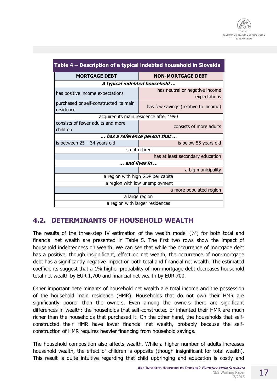| Table 4 – Description of a typical indebted household in Slovakia |                                                |  |  |  |
|-------------------------------------------------------------------|------------------------------------------------|--|--|--|
| <b>MORTGAGE DEBT</b>                                              | <b>NON-MORTGAGE DEBT</b>                       |  |  |  |
| A typical indebted household                                      |                                                |  |  |  |
| has positive income expectations                                  | has neutral or negative income<br>expectations |  |  |  |
| purchased or self-constructed its main<br>residence               | has few savings (relative to income)           |  |  |  |
| acquired its main residence after 1990                            |                                                |  |  |  |
| consists of fewer adults and more<br>children                     | consists of more adults                        |  |  |  |
|                                                                   | has a reference person that                    |  |  |  |
| is between $25 - 34$ years old                                    | is below 55 years old                          |  |  |  |
|                                                                   | is not retired                                 |  |  |  |
|                                                                   | has at least secondary education               |  |  |  |
|                                                                   | and lives in                                   |  |  |  |
|                                                                   | a big municipality                             |  |  |  |
|                                                                   | a region with high GDP per capita              |  |  |  |
|                                                                   | a region with low unemployment                 |  |  |  |
|                                                                   | a more populated region                        |  |  |  |
|                                                                   | a large region                                 |  |  |  |
| a region with larger residences                                   |                                                |  |  |  |

### **4.2. DETERMINANTS OF HOUSEHOLD WEALTH**

The results of the three-step IV estimation of the wealth model  $(W)$  for both total and financial net wealth are presented in Table 5. The first two rows show the impact of household indebtedness on wealth. We can see that while the occurrence of mortgage debt has a positive, though insignificant, effect on net wealth, the occurrence of non-mortgage debt has a significantly negative impact on both total and financial net wealth. The estimated coefficients suggest that a 1% higher probability of non-mortgage debt decreases household total net wealth by EUR 1,700 and financial net wealth by EUR 700.

Other important determinants of household net wealth are total income and the possession of the household main residence (HMR). Households that do not own their HMR are significantly poorer than the owners. Even among the owners there are significant differences in wealth; the households that self-constructed or inherited their HMR are much richer than the households that purchased it. On the other hand, the households that selfconstructed their HMR have lower financial net wealth, probably because the selfconstruction of HMR requires heavier financing from household savings.

The household composition also affects wealth. While a higher number of adults increases household wealth, the effect of children is opposite (though insignificant for total wealth). This result is quite intuitive regarding that child upbringing and education is costly and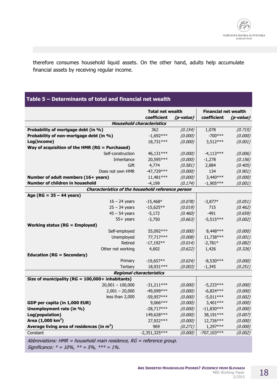therefore consumes household liquid assets. On the other hand, adults help accumulate financial assets by receiving regular income.

### **Table 5 – Determinants of total and financial net wealth**

|                                                                      | <b>Total net wealth</b><br>coefficient | (p-value) | <b>Financial net wealth</b><br>coefficient | <i>(p-value)</i> |
|----------------------------------------------------------------------|----------------------------------------|-----------|--------------------------------------------|------------------|
|                                                                      | <b>Household characteristics</b>       |           |                                            |                  |
| Probability of mortgage debt (in %)                                  | 362                                    | (0.154)   | 1,078                                      | (0.715)          |
| Probability of non-mortgage debt (in %)                              | $-1,692***$                            | (0.000)   | $-700***$                                  | (0.000)          |
| Log(income)                                                          | 18,731***                              | (0.000)   | $3,512***$                                 | (0.001)          |
| Way of acquisition of the HMR (RG = Purchased)                       |                                        |           |                                            |                  |
| Self-construction                                                    | 46,131***                              | (0.000)   | $-4,113***$                                | (0.006)          |
| Inheritance                                                          | 20,595***                              | (0.000)   | $-1,278$                                   | (0.156)          |
| Gift                                                                 | 4,774                                  | (0.581)   | 2,884                                      | (0.405)          |
| Does not own HMR                                                     | $-47,729***$                           | (0.000)   | 134                                        | (0.901)          |
| Number of adult members (16+ years)                                  | 11,481 ***                             | (0.000)   | $3,440***$                                 | (0.000)          |
| Number of children in household                                      | $-4,199$                               | (0.174)   | $-1,905***$                                | (0.001)          |
| Characteristics of the household reference person                    |                                        |           |                                            |                  |
| Age ( $RG = 35 - 44$ years)                                          |                                        |           |                                            |                  |
| $16 - 24$ years                                                      | $-15,468*$                             | (0.078)   | $-3,877*$                                  | (0.051)          |
| $25 - 34$ years                                                      | $-15,625**$                            | (0.019)   | 715                                        | (0.462)          |
| $45 - 54$ years                                                      | $-5,172$                               | (0.460)   | $-491$                                     | (0.659)          |
| $55+$ years                                                          | $-3,750$                               | (0.663)   | $-5,515***$                                | (0.002)          |
| <b>Working status (RG = Employed)</b>                                |                                        |           |                                            |                  |
| Self-employed                                                        | 55,092***                              | (0.000)   | 8,448 ***                                  | (0.000)          |
| Unemployed                                                           | 77,717***                              | (0.008)   | 11,738***                                  | (0.001)          |
| Retired                                                              | $-17,192**$                            | (0.014)   | $-2,781*$                                  | (0.082)          |
| Other not working                                                    | 4,602                                  | (0.622)   | 1,426                                      | (0.326)          |
| <b>Education (RG = Secondary)</b>                                    |                                        |           |                                            |                  |
| Primary                                                              | $-19,657**$                            | (0.024)   | $-8.530***$                                | (0.000)          |
| Tertiary                                                             | 18,931***                              | (0.003)   | $-1,345$                                   | (0.251)          |
|                                                                      | <b>Regional characteristics</b>        |           |                                            |                  |
| Size of municipality ( $RG = 100,000 +$ inhabitants)                 |                                        |           |                                            |                  |
| $20,001 - 100,000$                                                   | $-31,211***$                           | (0.000)   | $-5,233***$                                | (0.000)          |
| $2,001 - 20,000$                                                     | -49,099***                             | (0.000)   | $-6,824***$                                | (0.000)          |
| less than 2,000                                                      | $-59,957***$                           | (0.000)   | $-5,011***$                                | (0.002)          |
| GDP per capita (in 1,000 EUR)                                        | 9,066***                               | (0.000)   | 3,401***                                   | (0.000)          |
| Unemployment rate (in %)                                             | $-28,717***$                           | (0.000)   | $-11,830***$                               | (0.000)          |
| Log(population)                                                      | 149,628***                             | (0.000)   | 38,191***                                  | (0.007)          |
| Area $(1,000 \text{ km}^2)$                                          | 27,922***                              | (0.000)   | 12,726***                                  | (0.000)          |
| Average living area of residences (in $m2$ )                         | 969                                    | (0.271)   | $1,297***$                                 | (0.000)          |
| Constant                                                             | $-2,351,325***$                        | (0.000)   | $-707,103***$                              | (0.002)          |
| Abbreviations: HMR = household main residence, RG = reference group. |                                        |           |                                            |                  |

Significance:  $* = 10\%$ ,  $** = 5\%$ ,  $*** = 1\%$ .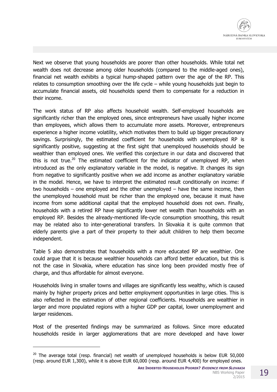Next we observe that young households are poorer than other households. While total net wealth does not decrease among older households (compared to the middle-aged ones), financial net wealth exhibits a typical hump-shaped pattern over the age of the RP. This relates to consumption smoothing over the life cycle – while young households just begin to accumulate financial assets, old households spend them to compensate for a reduction in their income.

The work status of RP also affects household wealth. Self-employed households are significantly richer than the employed ones, since entrepreneurs have usually higher income than employees, which allows them to accumulate more assets. Moreover, entrepreneurs experience a higher income volatility, which motivates them to build up bigger precautionary savings. Surprisingly, the estimated coefficient for households with unemployed RP is significantly positive, suggesting at the first sight that unemployed households should be wealthier than employed ones. We verified this conjecture in our data and discovered that this is not true.<sup>20</sup> The estimated coefficient for the indicator of unemployed RP, when introduced as the only explanatory variable in the model, is negative. It changes its sign from negative to significantly positive when we add income as another explanatory variable in the model. Hence, we have to interpret the estimated result conditionally on income: if two households – one employed and the other unemployed – have the same income, then the unemployed household must be richer than the employed one, because it must have income from some additional capital that the employed household does not own. Finally, households with a retired RP have significantly lower net wealth than households with an employed RP. Besides the already-mentioned life-cycle consumption smoothing, this result may be related also to inter-generational transfers. In Slovakia it is quite common that elderly parents give a part of their property to their adult children to help them become independent.

Table 5 also demonstrates that households with a more educated RP are wealthier. One could argue that it is because wealthier households can afford better education, but this is not the case in Slovakia, where education has since long been provided mostly free of charge, and thus affordable for almost everyone.

Households living in smaller towns and villages are significantly less wealthy, which is caused mainly by higher property prices and better employment opportunities in large cities. This is also reflected in the estimation of other regional coefficients. Households are wealthier in larger and more populated regions with a higher GDP per capital, lower unemployment and larger residences.

Most of the presented findings may be summarized as follows. Since more educated households reside in larger agglomerations that are more developed and have lower

-

 $20$  The average total (resp. financial) net wealth of unemployed households is below EUR 50,000 (resp. around EUR 1,300), while it is above EUR 60,000 (resp. around EUR 4,400) for employed ones.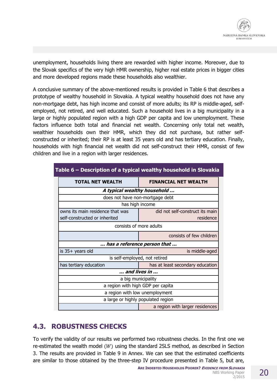unemployment, households living there are rewarded with higher income. Moreover, due to the Slovak specifics of the very high HMR ownership, higher real estate prices in bigger cities and more developed regions made these households also wealthier.

A conclusive summary of the above-mentioned results is provided in Table 6 that describes a prototype of wealthy household in Slovakia. A typical wealthy household does not have any non-mortgage debt, has high income and consist of more adults; its RP is middle-aged, selfemployed, not retired, and well educated. Such a household lives in a big municipality in a large or highly populated region with a high GDP per capita and low unemployment. These factors influence both total and financial net wealth. Concerning only total net wealth, wealthier households own their HMR, which they did not purchase, but rather selfconstructed or inherited; their RP is at least 35 years old and has tertiary education. Finally, households with high financial net wealth did not self-construct their HMR, consist of few children and live in a region with larger residences.

|                                   | Table 6 – Description of a typical wealthy household in Slovakia |  |
|-----------------------------------|------------------------------------------------------------------|--|
| <b>TOTAL NET WEALTH</b>           | <b>FINANCIAL NET WEALTH</b>                                      |  |
|                                   | A typical wealthy household                                      |  |
|                                   | does not have non-mortgage debt                                  |  |
|                                   | has high income                                                  |  |
| owns its main residence that was  | did not self-construct its main                                  |  |
| self-constructed or inherited     | residence                                                        |  |
|                                   | consists of more adults                                          |  |
|                                   | consists of few children                                         |  |
|                                   | has a reference person that                                      |  |
| is $35+$ years old                | is middle-aged                                                   |  |
|                                   | is self-employed, not retired                                    |  |
| has tertiary education            | has at least secondary education                                 |  |
|                                   | and lives in                                                     |  |
|                                   | a big municipality                                               |  |
| a region with high GDP per capita |                                                                  |  |
|                                   | a region with low unemployment                                   |  |
|                                   | a large or highly populated region                               |  |
|                                   | a region with larger residences                                  |  |

### **4.3. ROBUSTNESS CHECKS**

To verify the validity of our results we performed two robustness checks. In the first one we re-estimated the wealth model  $(W)$  using the standard 2SLS method, as described in Section 3. The results are provided in Table 9 in Annex. We can see that the estimated coefficients are similar to those obtained by the three-step IV procedure presented in Table 5, but are,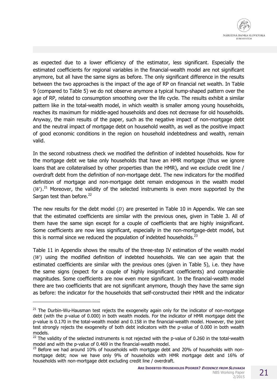as expected due to a lower efficiency of the estimator, less significant. Especially the estimated coefficients for regional variables in the financial-wealth model are not significant anymore, but all have the same signs as before. The only significant difference in the results between the two approaches is the impact of the age of RP on financial net wealth. In Table 9 (compared to Table 5) we do not observe anymore a typical hump-shaped pattern over the age of RP, related to consumption smoothing over the life cycle. The results exhibit a similar pattern like in the total-wealth model, in which wealth is smaller among young households, reaches its maximum for middle-aged households and does not decrease for old households. Anyway, the main results of the paper, such as the negative impact of non-mortgage debt and the neutral impact of mortgage debt on household wealth, as well as the positive impact of good economic conditions in the region on household indebtedness and wealth, remain valid.

In the second robustness check we modified the definition of indebted households. Now for the mortgage debt we take only households that have an HMR mortgage (thus we ignore loans that are collateralised by other properties than the HMR), and we exclude credit line / overdraft debt from the definition of non-mortgage debt. The new indicators for the modified definition of mortgage and non-mortgage debt remain endogenous in the wealth model  $(W)$ .<sup>21</sup> Moreover, the validity of the selected instruments is even more supported by the Sargan test than before.<sup>22</sup>

The new results for the debt model  $(D)$  are presented in Table 10 in Appendix. We can see that the estimated coefficients are similar with the previous ones, given in Table 3. All of them have the same sign except for a couple of coefficients that are highly insignificant. Some coefficients are now less significant, especially in the non-mortgage-debt model, but this is normal since we reduced the population of indebted households. $^{23}$ 

Table 11 in Appendix shows the results of the three-step IV estimation of the wealth model  $(W)$  using the modified definition of indebted households. We can see again that the estimated coefficients are similar with the previous ones (given in Table 5), i.e. they have the same signs (expect for a couple of highly insignificant coefficients) and comparable magnitudes. Some coefficients are now even more significant. In the financial-wealth model there are two coefficients that are not significant anymore, though they have the same sign as before: the indicator for the households that self-constructed their HMR and the indicator

l

 $21$  The Durbin-Wu-Hausman test rejects the exogeneity again only for the indicator of non-mortgage debt (with the p-value of 0.000) in both wealth models. For the indicator of HMR mortgage debt the p-value is 0.170 in the total-wealth model and 0.158 in the financial-wealth model. However, the joint test strongly rejects the exogeneity of both debt indicators with the p-value of 0.000 in both wealth models.

 $22$  The validity of the selected instruments is not rejected with the p-value of 0.260 in the total-wealth model and with the p-value of 0.469 in the financial-wealth model.

 $23$  Before we had around 10% of households with mortgage debt and 20% of households with nonmortgage debt; now we have only 9% of households with HMR mortgage debt and 16% of households with non-mortgage debt excluding credit line / overdraft.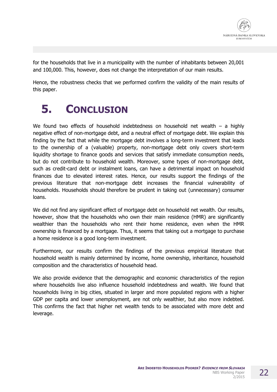for the households that live in a municipality with the number of inhabitants between 20,001 and 100,000. This, however, does not change the interpretation of our main results.

Hence, the robustness checks that we performed confirm the validity of the main results of this paper.

# **5. CONCLUSION**

We found two effects of household indebtedness on household net wealth – a highly negative effect of non-mortgage debt, and a neutral effect of mortgage debt. We explain this finding by the fact that while the mortgage debt involves a long-term investment that leads to the ownership of a (valuable) property, non-mortgage debt only covers short-term liquidity shortage to finance goods and services that satisfy immediate consumption needs, but do not contribute to household wealth. Moreover, some types of non-mortgage debt, such as credit-card debt or instalment loans, can have a detrimental impact on household finances due to elevated interest rates. Hence, our results support the findings of the previous literature that non-mortgage debt increases the financial vulnerability of households. Households should therefore be prudent in taking out (unnecessary) consumer loans.

We did not find any significant effect of mortgage debt on household net wealth. Our results, however, show that the households who own their main residence (HMR) are significantly wealthier than the households who rent their home residence, even when the HMR ownership is financed by a mortgage. Thus, it seems that taking out a mortgage to purchase a home residence is a good long-term investment.

Furthermore, our results confirm the findings of the previous empirical literature that household wealth is mainly determined by income, home ownership, inheritance, household composition and the characteristics of household head.

We also provide evidence that the demographic and economic characteristics of the region where households live also influence household indebtedness and wealth. We found that households living in big cities, situated in larger and more populated regions with a higher GDP per capita and lower unemployment, are not only wealthier, but also more indebted. This confirms the fact that higher net wealth tends to be associated with more debt and leverage.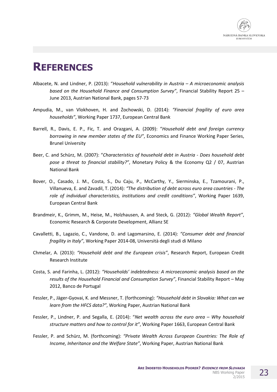

# **REFERENCES**

- Albacete, N. and Lindner, P. (2013): "*Household vulnerability in Austria A microeconomic analysis based on the Household Finance and Consumption Survey"*, Financial Stability Report 25 – June 2013, Austrian National Bank, pages 57‐73
- Ampudia, M., van Vlokhoven, H. and Żochowski, D. (2014): *"Financial fragility of euro area households"*, Working Paper 1737, European Central Bank
- Barrell, R., Davis, E. P., Fic, T. and Orazgani, A. (2009): "*Household debt and foreign currency borrowing in new member states of the EU"*, Economics and Finance Working Paper Series, Brunel University
- Beer, C. and Schürz, M. (2007): "*Characteristics of household debt in Austria Does household debt pose a threat to financial stability?"*, Monetary Policy & the Economy Q2 / 07, Austrian National Bank
- Bover, O., Casado, J. M., Costa, S., Du Caju, P., McCarthy, Y., Sierminska, E., Tzamourani, P., Villanueva, E. and Zavadil, T. (2014): *"The distribution of debt across euro area countries - The role of individual characteristics, institutions and credit conditions"*, Working Paper 1639, European Central Bank
- Brandmeir, K., Grimm, M., Heise, M., Holzhausen, A. and Steck, G. (2012): *"Global Wealth Report"*, Economic Research & Corporate Development, Allianz SE
- Cavalletti, B., Lagazio, C., Vandone, D. and Lagomarsino, E. (2014): *"Consumer debt and financial fragility in Italy"*, Working Paper 2014‐08, Università degli studi di Milano
- Chmelar, A. (2013): *"Household debt and the European crisis"*, Research Report, European Credit Research Institute
- Costa, S. and Farinha, L. (2012): *"Households' indebtedness: A microeconomic analysis based on the results of the Household Financial and Consumption Survey"*, Financial Stability Report – May 2012, Banco de Portugal
- Fessler, P., Jäger‐Gyovai, K. and Messner, T. (forthcoming): *"Household debt in Slovakia: What can we learn from the HFCS data?"*, Working Paper, Austrian National Bank
- Fessler, P., Lindner, P. and Segalla, E. (2014): "*Net wealth across the euro area Why household structure matters and how to control for it"*, Working Paper 1663, European Central Bank
- Fessler, P. and Schürz, M. (forthcoming): *"Private Wealth Across European Countries: The Role of Income, Inheritance and the Welfare State"*, Working Paper, Austrian National Bank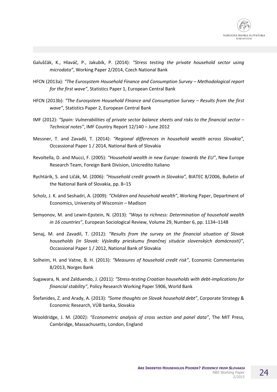- Galuščák, K., Hlaváč, P., Jakubík, P. (2014): *"Stress testing the private household sector using microdata"*, Working Paper 2/2014, Czech National Bank
- HFCN (2013a): *"The Eurosystem Household Finance and Consumption Survey Methodological report for the first wave"*, Statistics Paper 1, European Central Bank
- HFCN (2013b): *"The Eurosystem Household FInance and Consumption Survey Results from the first wave"*, Statistics Paper 2, European Central Bank
- IMF (2012): *"Spain: Vulnerabilities of private sector balance sheets and risks to the financial sector Technical notes"*, IMF Country Report 12/140 – June 2012
- Messner, T. and Zavadil, T. (2014): *"Regional differences in household wealth across Slovakia"*, Occassional Paper 1 / 2014, National Bank of Slovakia
- Revoltella, D. and Mucci, F. (2005): *"Household wealth in new Europe: towards the EU"*, New Europe Research Team, Foreign Bank Division, Unicredito Italiano
- Rychtárik, S. and Ličák, M. (2006): *"Household credit growth in Slovakia",* BIATEC 8/2006, Bulletin of the National Bank of Slovakia, pp. 8–15
- Scholz, J. K. and Seshadri, A. (2009): *"Children and household wealth"*, Working Paper, Department of Economics, University of Wisconsin – Madison
- Semyonov, M. and Lewin‐Epstein, N. (2013): *"Ways to richness: Determination of household wealth in 16 countries"*, European Sociological Review, Volume 29, Number 6, pp. 1134–1148
- Senaj, M. and Zavadil, T. (2012): *"Results from the survey on the financial situation of Slovak households (in Slovak: Výsledky prieskumu finančnej situácie slovenských domácností)"*, Occassional Paper 1 / 2012, National Bank of Slovakia
- Solheim, H. and Vatne, B. H. (2013): *"Measures of household credit risk"*, Economic Commentaries 8/2013, Norges Bank
- Sugawara, N. and Zalduendo, J. (2011): *"Stress-testing Croatian households with debt-implications for financial stability"*, Policy Research Working Paper 5906, World Bank
- Štefanides, Z. and Arady, A. (2013): *"Some thoughts on Slovak household debt"*, Corporate Strategy & Economic Research, VÚB banka, Slovakia
- Wooldridge, J. M. (2002): *"Econometric analysis of cross section and panel data"*, The MIT Press, Cambridge, Massachusetts, London, England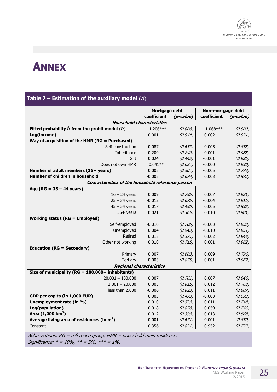

# **ANNEX**

### **Table 7 – Estimation of the auxiliary model** (3)

|                                                          | Mortgage debt |           | Non-mortgage debt |           |
|----------------------------------------------------------|---------------|-----------|-------------------|-----------|
|                                                          | coefficient   | (p-value) | coefficient       | (p-value) |
| <b>Household characteristics</b>                         |               |           |                   |           |
| Fitted probability $\hat{D}$ from the probit model $(D)$ | $1.206***$    | (0.000)   | $1.068***$        | (0.000)   |
| Log(income)                                              | $-0.001$      | (0.944)   | $-0.002$          | (0.921)   |
| Way of acquisition of the HMR ( $RG = Purchased$ )       |               |           |                   |           |
| Self-construction                                        | 0.087         | (0.653)   | 0.005             | (0.858)   |
| <b>Inheritance</b>                                       | 0.200         | (0.240)   | 0.001             | (0.988)   |
| Gift                                                     | 0.024         | (0.443)   | $-0.001$          | (0.986)   |
| Does not own HMR                                         | $0.041**$     | (0.027)   | $-0.000$          | (0.990)   |
| Number of adult members (16+ years)                      | 0.005         | (0.507)   | $-0.005$          | (0.774)   |
| Number of children in household                          | $-0.005$      | (0.674)   | 0.003             | (0.872)   |
| Characteristics of the household reference person        |               |           |                   |           |
| Age (RG = $35 - 44$ years)                               |               |           |                   |           |
| $16 - 24$ years                                          | 0.009         | (0.795)   | 0.007             | (0.921)   |
| $25 - 34$ years                                          | $-0.012$      | (0.675)   | $-0.004$          | (0.916)   |
| $45 - 54$ years                                          | 0.017         | (0.490)   | 0.005             | (0.898)   |
| $55+$ years                                              | 0.021         | (0.365)   | 0.010             | (0.801)   |
| <b>Working status (RG = Employed)</b>                    |               |           |                   |           |
| Self-employed                                            | $-0.010$      | (0.706)   | $-0.003$          | (0.938)   |
| Unemployed                                               | 0.004         | (0.943)   | $-0.010$          | (0.951)   |
| Retired                                                  | 0.015         | (0.371)   | 0.002             | (0.944)   |
| Other not working                                        | 0.010         | (0.715)   | 0.001             | (0.982)   |
| <b>Education (RG = Secondary)</b>                        |               |           |                   |           |
| Primary                                                  | 0.007         | (0.603)   | 0.009             | (0.796)   |
| <b>Tertiary</b>                                          | $-0.003$      | (0.875)   | $-0.001$          | (0.962)   |
| <b>Regional characteristics</b>                          |               |           |                   |           |
| Size of municipality ( $RG = 100,000 +$ inhabitants)     |               |           |                   |           |
| $20,001 - 100,000$                                       | 0.007         | (0.761)   | 0.007             | (0.846)   |
| $2,001 - 20,000$                                         | 0.005         | (0.815)   | 0.012             | (0.768)   |
| less than 2,000                                          | $-0.006$      | (0.823)   | 0.011             | (0.807)   |
| GDP per capita (in 1,000 EUR)                            | 0.003         | (0.473)   | $-0.003$          | (0.693)   |
| Unemployment rate (in %)                                 | 0.010         | (0.529)   | 0.011             | (0.718)   |
| Log(population)                                          | $-0.018$      | (0.870)   | $-0.059$          | (0.746)   |
| Area $(1,000 \text{ km}^2)$                              | $-0.012$      | (0.399)   | $-0.013$          | (0.668)   |
| Average living area of residences (in $m2$ )             | $-0.001$      | (0.671)   | $-0.001$          | (0.850)   |
| Constant                                                 | 0.356         | (0.821)   | 0.952             | (0.723)   |

Abbreviations:  $RG = reference \ group$ ,  $HMR = household \ main \ residue.$ Significance:  $* = 10\%$ ,  $** = 5\%$ ,  $*** = 1\%$ .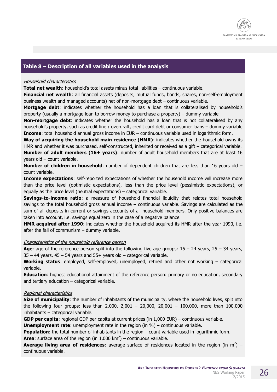

#### **Table 8 – Description of all variables used in the analysis**

#### Household characteristics

**Total net wealth**: household's total assets minus total liabilities – continuous variable.

**Financial net wealth**: all financial assets (deposits, mutual funds, bonds, shares, non-self-employment business wealth and managed accounts) net of non-mortgage debt – continuous variable.

**Mortgage debt**: indicates whether the household has a loan that is collateralised by household's property (usually a mortgage loan to borrow money to purchase a property) – dummy variable

**Non-mortgage debt**: indicates whether the household has a loan that is not collateralised by any household's property, such as credit line / overdraft, credit card debt or consumer loans – dummy variable **Income**: total household annual gross income in EUR – continuous variable used in logarithmic form.

**Way of acquiring the household main residence (HMR)**: indicates whether the household owns its HMR and whether it was purchased, self-constructed, inherited or received as a gift – categorical variable. **Number of adult members (16+ years)**: number of adult household members that are at least 16 years old – count variable.

**Number of children in household**: number of dependent children that are less than 16 years old – count variable.

**Income expectations**: self-reported expectations of whether the household income will increase more than the price level (optimistic expectations), less than the price level (pessimistic expectations), or equally as the price level (neutral expectations) – categorical variable.

**Savings-to-income ratio**: a measure of household financial liquidity that relates total household savings to the total household gross annual income – continuous variable. Savings are calculated as the sum of all deposits in current or savings accounts of all household members. Only positive balances are taken into account, i.e. savings equal zero in the case of a negative balance.

**HMR acquired after 1990**: indicates whether the household acquired its HMR after the year 1990, i.e. after the fall of communism – dummy variable.

#### Characteristics of the household reference person

**Age**: age of the reference person split into the following five age groups:  $16 - 24$  years,  $25 - 34$  years,  $35 - 44$  years,  $45 - 54$  years and  $55 +$  years old – categorical variable.

**Working status**: employed, self-employed, unemployed, retired and other not working – categorical variable.

**Education**: highest educational attainment of the reference person: primary or no education, secondary and tertiary education – categorical variable.

#### Regional characteristics

**Size of municipality**: the number of inhabitants of the municipality, where the household lives, split into the following four groups: less than 2,000, 2,001 – 20,000, 20,001 – 100,000, more than 100,000 inhabitants – categorical variable.

**GDP per capita**: regional GDP per capita at current prices (in 1,000 EUR) – continuous variable.

**Unemployment rate**: unemployment rate in the region (in %) – continuous variable.

**Population**: the total number of inhabitants in the region – count variable used in logarithmic form. **Area**: surface area of the region (in  $1,000 \text{ km}^2$ ) – continuous variable.

**Average living area of residences**: average surface of residences located in the region (in  $m^2$ ) – continuous variable.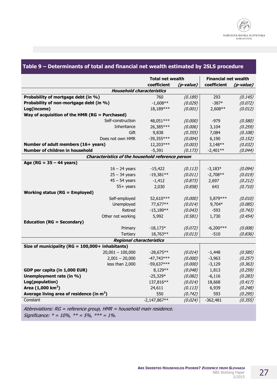|                                                   | <b>Total net wealth</b> |           | <b>Financial net wealth</b> |           |
|---------------------------------------------------|-------------------------|-----------|-----------------------------|-----------|
|                                                   | coefficient             | (p-value) | coefficient                 | (p-value) |
| <b>Household characteristics</b>                  |                         |           |                             |           |
| Probability of mortgage debt (in %)               | 760                     | (0.189)   | 293                         | (0.145)   |
| Probability of non-mortgage debt (in %)           | $-1,608**$              | (0.029)   | $-387*$                     | (0.072)   |
| Log(income)                                       | 18,189***               | (0.001)   | 2,608**                     | (0.012)   |
| Way of acquisition of the HMR (RG = Purchased)    |                         |           |                             |           |
| Self-construction                                 | 48,051 ***              | (0.000)   | $-979$                      | (0.580)   |
| Inheritance                                       | 26,385***               | (0.006)   | 3,104                       | (0.259)   |
| Gift                                              | 9,838                   | (0.355)   | 7,084                       | (0.108)   |
| Does not own HMR                                  | $-39,355***$            | (0.004)   | 6,190                       | (0.152)   |
| Number of adult members (16+ years)               | 12,203***               | (0.003)   | $3,148**$                   | (0.032)   |
| Number of children in household                   | $-5,391$                | (0.173)   | $-2,401**$                  | (0.044)   |
| Characteristics of the household reference person |                         |           |                             |           |
| Age ( $RG = 35 - 44$ years)                       |                         |           |                             |           |
| $16 - 24$ years                                   | $-15,422$               | (0.113)   | $-3,183*$                   | (0.094)   |
| $25 - 34$ years                                   | $-19,381**$             | (0.011)   | $-2,708**$                  | (0.019)   |
| $45 - 54$ years                                   | $-1,412$                | (0.873)   | 2,697                       | (0.212)   |
| $55+$ years                                       | 2,030                   | (0.858)   | 643                         | (0.710)   |
| <b>Working status (RG = Employed)</b>             |                         |           |                             |           |
| Self-employed                                     | 52,610***               | (0.000)   | 5,879 ***                   | (0.010)   |
| Unemployed                                        | 77,677**                | (0.014)   | 9,704*                      | (0.085)   |
| Retired                                           | $-15,189**$             | (0.043)   | $-593$                      | (0.743)   |
| Other not working                                 | 5,992                   | (0.581)   | 1,730                       | (0.454)   |
| <b>Education (RG = Secondary)</b>                 |                         |           |                             |           |
| Primary                                           | $-18,173*$              | (0.072)   | $-6,200***$                 | (0.008)   |
| <b>Tertiary</b>                                   | 18,763**                | (0.013)   | $-510$                      | (0.836)   |
| Regional characteristics                          |                         |           |                             |           |
| Size of municipality (RG = 100,000+ inhabitants)  |                         |           |                             |           |
| $20,001 - 100,000$                                | $-28,675**$             | (0.014)   | $-1,448$                    | (0.585)   |
| $2,001 - 20,000$                                  | $-47,743***$            | (0.000)   | $-3,963$                    | (0.257)   |
| less than 2,000                                   | $-59,637***$            | (0.000)   | $-3,129$                    | (0.363)   |
| GDP per capita (in 1,000 EUR)                     | 8,129**                 | (0.048)   | 1,813                       | (0.259)   |
| Unemployment rate (in %)                          | $-25,329*$              | (0.082)   | $-6,116$                    | (0.283)   |
| Log(population)                                   | 137,816**               | (0.014)   | 18,668                      | (0.417)   |
| Area $(1,000 \text{ km}^2)$                       | 24,611                  | (0.113)   | 6,939                       | (0.248)   |
| Average living area of residence (in $m2$ )       | 550                     | (0.742)   | 593                         | (0.295)   |
| Constant                                          | $-2,147,867**$          | (0.024)   | $-362,481$                  | (0.355)   |

#### **Table 9 – Determinants of total and financial net wealth estimated by 2SLS procedure**

Abbreviations: RG = reference group, HMR = household main residence. Significance:  $* = 10\%$ ,  $** = 5\%$ ,  $*** = 1\%$ .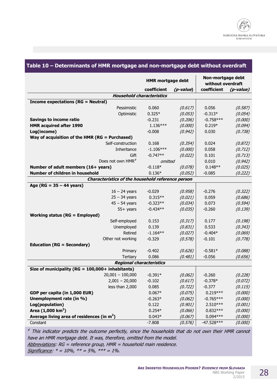|                                                      | <b>HMR mortgage debt</b> |           | Non-mortgage debt<br>without overdraft |           |
|------------------------------------------------------|--------------------------|-----------|----------------------------------------|-----------|
|                                                      | coefficient              | (p-value) | coefficient                            | (p-value) |
| <b>Household characteristics</b>                     |                          |           |                                        |           |
| <b>Income expectations (RG = Neutral)</b>            |                          |           |                                        |           |
| Pessimistic                                          | 0.060                    | (0.617)   | 0.056                                  | (0.587)   |
| Optimistic                                           | $0.325*$                 | (0.053)   | $-0.313*$                              | (0.054)   |
| <b>Savings to income ratio</b>                       | $-0.231$                 | (0.206)   | $-0.758***$                            | (0.000)   |
| <b>HMR acquired after 1990</b>                       | $1.136***$               | (0.000)   | $0.219*$                               | (0.094)   |
| Log(income)                                          | $-0.008$                 | (0.942)   | 0.030                                  | (0.738)   |
| Way of acquisition of the HMR (RG = Purchased)       |                          |           |                                        |           |
| Self-construction                                    | 0.168                    | (0.354)   | 0.024                                  | (0.872)   |
| Inheritance                                          | $-1.106***$              | (0.000)   | 0.058                                  | (0.712)   |
| Gift                                                 | $-0.747**$               | (0.022)   | 0.101                                  | (0.713)   |
| Does not own HMR <sup>#</sup>                        | omitted                  |           | 0.010                                  | (0.942)   |
| Number of adult members (16+ years)                  | $-0.118*$                | (0.078)   | $0.148**$                              | (0.025)   |
| Number of children in household                      | $0.136*$                 | (0.052)   | $-0.085$                               | (0.222)   |
| Characteristics of the household reference person    |                          |           |                                        |           |
| Age ( $RG = 35 - 44$ years)                          |                          |           |                                        |           |
| $16 - 24$ years                                      | $-0.029$                 | (0.958)   | $-0.276$                               | (0.322)   |
| $25 - 34$ years                                      | $0.315**$                | (0.021)   | 0.059                                  | (0.686)   |
| $45 - 54$ years                                      | $-0.323**$               | (0.034)   | 0.073                                  | (0.594)   |
| $55+$ years                                          | $-0.434**$               | (0.035)   | $-0.260$                               | (0.139)   |
| <b>Working status (RG = Employed)</b>                |                          |           |                                        |           |
| Self-employed                                        | 0.153                    | (0.317)   | 0.177                                  | (0.198)   |
| Unemployed                                           | 0.139                    | (0.831)   | 0.533                                  | (0.343)   |
| Retired                                              | $-1.164**$               | (0.027)   | $-0.404*$                              | (0.069)   |
| Other not working                                    | $-0.329$                 | (0.578)   | $-0.101$                               | (0.778)   |
| <b>Education (RG = Secondary)</b>                    |                          |           |                                        |           |
| Primary                                              | $-0.402$                 | (0.626)   | $-0.581*$                              | (0.088)   |
| <b>Tertiary</b>                                      | 0.086                    | (0.481)   | $-0.056$                               | (0.656)   |
| <b>Regional characteristics</b>                      |                          |           |                                        |           |
| Size of municipality ( $RG = 100,000 +$ inhabitants) |                          |           |                                        |           |
| $20,001 - 100,000$                                   | $-0.391*$                | (0.062)   | $-0.260$                               | (0.228)   |
| $2,001 - 20,000$                                     | $-0.102$                 | (0.617)   | $-0.378*$                              | (0.072)   |
| less than 2,000                                      | 0.085                    | (0.722)   | $-0.377$                               | (0.115)   |
| GDP per capita (in 1,000 EUR)                        | $0.067*$                 | (0.075)   | $0.219***$                             | (0.000)   |
| Unemployment rate (in %)                             | $-0.263*$                | (0.062)   | $-0.765***$                            | (0.000)   |
| Log(population)                                      | 0.122                    | (0.901)   | 2.510***                               | (0.001)   |
| Area $(1,000 \text{ km}^2)$                          | $0.254*$                 | (0.066)   | $0.832***$                             | (0.000)   |
| Average living area of residences (in $m2$ )         | $0.043*$                 | (0.067)   | $0.094***$                             | (0.000)   |
| Constant                                             | $-7.808$                 | (0.576)   | $-47.528***$                           | (0.000)   |

### **Table 10 – Determinants of HMR mortgage and non-mortgage debt without overdraft**

 ${}^{\#}$  This indicator predicts the outcome perfectly, since the households that do not own their HMR cannot have an HMR mortgage debt. It was, therefore, omitted from the model. Abbreviations: RG = reference group, HMR = household main residence. Significance:  $* = 10\%$ ,  $** = 5\%$ ,  $*** = 1\%$ .